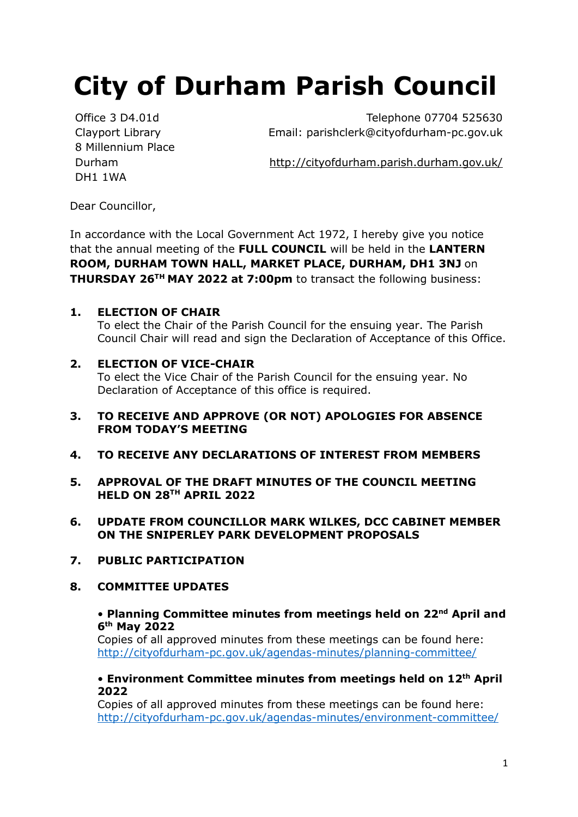# **City of Durham Parish Council**

Clayport Library 8 Millennium Place DH1 1WA

Office 3 D4.01d Telephone 07704 525630 Email: parishclerk@cityofdurham-pc.gov.uk

Durham <http://cityofdurham.parish.durham.gov.uk/>

Dear Councillor,

In accordance with the Local Government Act 1972, I hereby give you notice that the annual meeting of the **FULL COUNCIL** will be held in the **LANTERN ROOM, DURHAM TOWN HALL, MARKET PLACE, DURHAM, DH1 3NJ** on **THURSDAY 26<sup>TH</sup> MAY 2022 at 7:00pm** to transact the following business:

# **1. ELECTION OF CHAIR**

To elect the Chair of the Parish Council for the ensuing year. The Parish Council Chair will read and sign the Declaration of Acceptance of this Office.

# **2. ELECTION OF VICE-CHAIR**

To elect the Vice Chair of the Parish Council for the ensuing year. No Declaration of Acceptance of this office is required.

- **3. TO RECEIVE AND APPROVE (OR NOT) APOLOGIES FOR ABSENCE FROM TODAY'S MEETING**
- **4. TO RECEIVE ANY DECLARATIONS OF INTEREST FROM MEMBERS**
- **5. APPROVAL OF THE DRAFT MINUTES OF THE COUNCIL MEETING HELD ON 28TH APRIL 2022**
- **6. UPDATE FROM COUNCILLOR MARK WILKES, DCC CABINET MEMBER ON THE SNIPERLEY PARK DEVELOPMENT PROPOSALS**
- **7. PUBLIC PARTICIPATION**
- **8. COMMITTEE UPDATES**

#### • **Planning Committee minutes from meetings held on 22nd April and 6 th May 2022**

Copies of all approved minutes from these meetings can be found here: <http://cityofdurham-pc.gov.uk/agendas-minutes/planning-committee/>

#### • **Environment Committee minutes from meetings held on 12th April 2022**

Copies of all approved minutes from these meetings can be found here: <http://cityofdurham-pc.gov.uk/agendas-minutes/environment-committee/>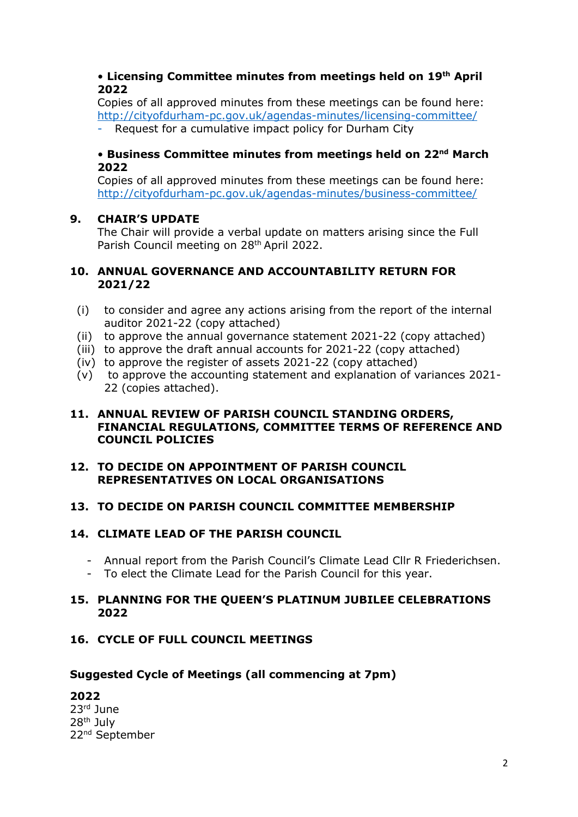#### • **Licensing Committee minutes from meetings held on 19th April 2022**

Copies of all approved minutes from these meetings can be found here: <http://cityofdurham-pc.gov.uk/agendas-minutes/licensing-committee/>

Request for a cumulative impact policy for Durham City

#### **• Business Committee minutes from meetings held on 22<sup>nd</sup> March 2022**

Copies of all approved minutes from these meetings can be found here: <http://cityofdurham-pc.gov.uk/agendas-minutes/business-committee/>

# **9. CHAIR'S UPDATE**

The Chair will provide a verbal update on matters arising since the Full Parish Council meeting on 28<sup>th</sup> April 2022.

#### **10. ANNUAL GOVERNANCE AND ACCOUNTABILITY RETURN FOR 2021/22**

- (i) to consider and agree any actions arising from the report of the internal auditor 2021-22 (copy attached)
- (ii) to approve the annual governance statement 2021-22 (copy attached)
- (iii) to approve the draft annual accounts for 2021-22 (copy attached)
- (iv) to approve the register of assets 2021-22 (copy attached)
- (v) to approve the accounting statement and explanation of variances 2021- 22 (copies attached).

#### **11. ANNUAL REVIEW OF PARISH COUNCIL STANDING ORDERS, FINANCIAL REGULATIONS, COMMITTEE TERMS OF REFERENCE AND COUNCIL POLICIES**

#### **12. TO DECIDE ON APPOINTMENT OF PARISH COUNCIL REPRESENTATIVES ON LOCAL ORGANISATIONS**

# **13. TO DECIDE ON PARISH COUNCIL COMMITTEE MEMBERSHIP**

# **14. CLIMATE LEAD OF THE PARISH COUNCIL**

- Annual report from the Parish Council's Climate Lead Cllr R Friederichsen.
- To elect the Climate Lead for the Parish Council for this year.

#### **15. PLANNING FOR THE QUEEN'S PLATINUM JUBILEE CELEBRATIONS 2022**

# **16. CYCLE OF FULL COUNCIL MEETINGS**

#### **Suggested Cycle of Meetings (all commencing at 7pm)**

# **2022**

23rd June 28th July 22nd September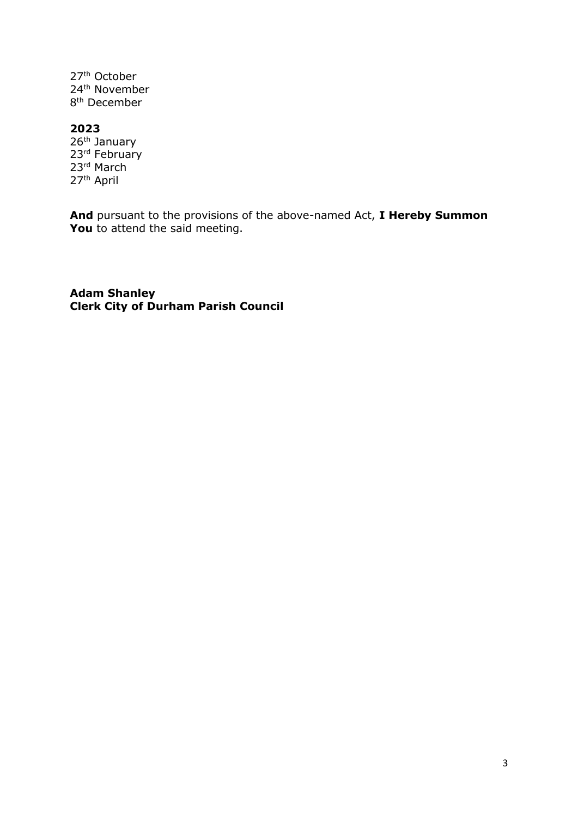27th October 24th November 8<sup>th</sup> December

#### **2023**

26<sup>th</sup> January 23<sup>rd</sup> February 23rd March 27<sup>th</sup> April

**And** pursuant to the provisions of the above-named Act, **I Hereby Summon**  You to attend the said meeting.

**Adam Shanley Clerk City of Durham Parish Council**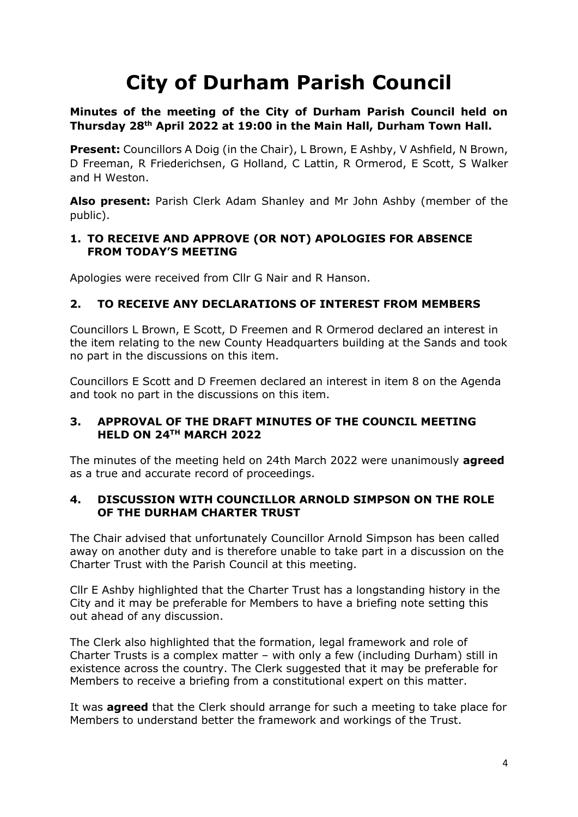# **City of Durham Parish Council**

#### **Minutes of the meeting of the City of Durham Parish Council held on Thursday 28 th April 2022 at 19:00 in the Main Hall, Durham Town Hall.**

**Present:** Councillors A Doig (in the Chair), L Brown, E Ashby, V Ashfield, N Brown, D Freeman, R Friederichsen, G Holland, C Lattin, R Ormerod, E Scott, S Walker and H Weston.

**Also present:** Parish Clerk Adam Shanley and Mr John Ashby (member of the public).

#### **1. TO RECEIVE AND APPROVE (OR NOT) APOLOGIES FOR ABSENCE FROM TODAY'S MEETING**

Apologies were received from Cllr G Nair and R Hanson.

#### **2. TO RECEIVE ANY DECLARATIONS OF INTEREST FROM MEMBERS**

Councillors L Brown, E Scott, D Freemen and R Ormerod declared an interest in the item relating to the new County Headquarters building at the Sands and took no part in the discussions on this item.

Councillors E Scott and D Freemen declared an interest in item 8 on the Agenda and took no part in the discussions on this item.

#### **3. APPROVAL OF THE DRAFT MINUTES OF THE COUNCIL MEETING HELD ON 24TH MARCH 2022**

The minutes of the meeting held on 24th March 2022 were unanimously **agreed**  as a true and accurate record of proceedings.

#### **4. DISCUSSION WITH COUNCILLOR ARNOLD SIMPSON ON THE ROLE OF THE DURHAM CHARTER TRUST**

The Chair advised that unfortunately Councillor Arnold Simpson has been called away on another duty and is therefore unable to take part in a discussion on the Charter Trust with the Parish Council at this meeting.

Cllr E Ashby highlighted that the Charter Trust has a longstanding history in the City and it may be preferable for Members to have a briefing note setting this out ahead of any discussion.

The Clerk also highlighted that the formation, legal framework and role of Charter Trusts is a complex matter – with only a few (including Durham) still in existence across the country. The Clerk suggested that it may be preferable for Members to receive a briefing from a constitutional expert on this matter.

It was **agreed** that the Clerk should arrange for such a meeting to take place for Members to understand better the framework and workings of the Trust.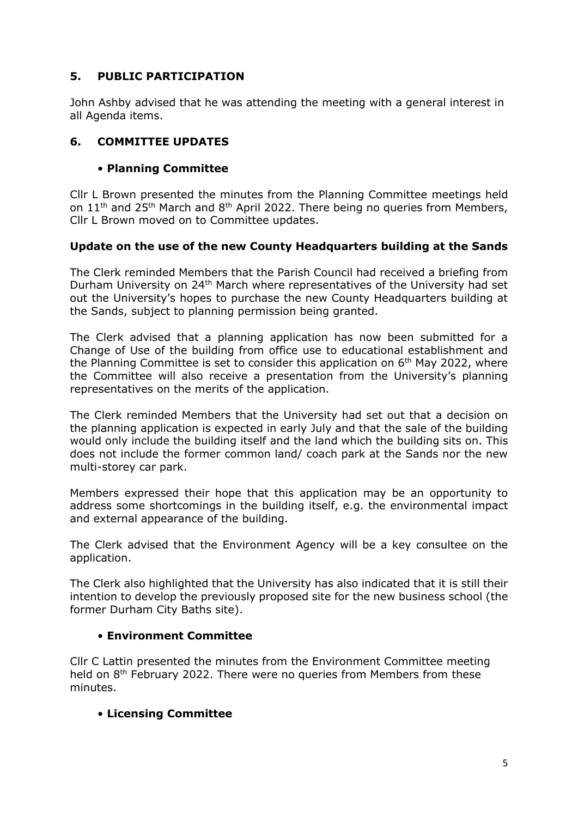# **5. PUBLIC PARTICIPATION**

John Ashby advised that he was attending the meeting with a general interest in all Agenda items.

# **6. COMMITTEE UPDATES**

# • **Planning Committee**

Cllr L Brown presented the minutes from the Planning Committee meetings held on 11<sup>th</sup> and 25<sup>th</sup> March and 8<sup>th</sup> April 2022. There being no queries from Members, Cllr L Brown moved on to Committee updates.

# **Update on the use of the new County Headquarters building at the Sands**

The Clerk reminded Members that the Parish Council had received a briefing from Durham University on 24<sup>th</sup> March where representatives of the University had set out the University's hopes to purchase the new County Headquarters building at the Sands, subject to planning permission being granted.

The Clerk advised that a planning application has now been submitted for a Change of Use of the building from office use to educational establishment and the Planning Committee is set to consider this application on  $6<sup>th</sup>$  May 2022, where the Committee will also receive a presentation from the University's planning representatives on the merits of the application.

The Clerk reminded Members that the University had set out that a decision on the planning application is expected in early July and that the sale of the building would only include the building itself and the land which the building sits on. This does not include the former common land/ coach park at the Sands nor the new multi-storey car park.

Members expressed their hope that this application may be an opportunity to address some shortcomings in the building itself, e.g. the environmental impact and external appearance of the building.

The Clerk advised that the Environment Agency will be a key consultee on the application.

The Clerk also highlighted that the University has also indicated that it is still their intention to develop the previously proposed site for the new business school (the former Durham City Baths site).

# • **Environment Committee**

Cllr C Lattin presented the minutes from the Environment Committee meeting held on 8<sup>th</sup> February 2022. There were no queries from Members from these minutes.

# • **Licensing Committee**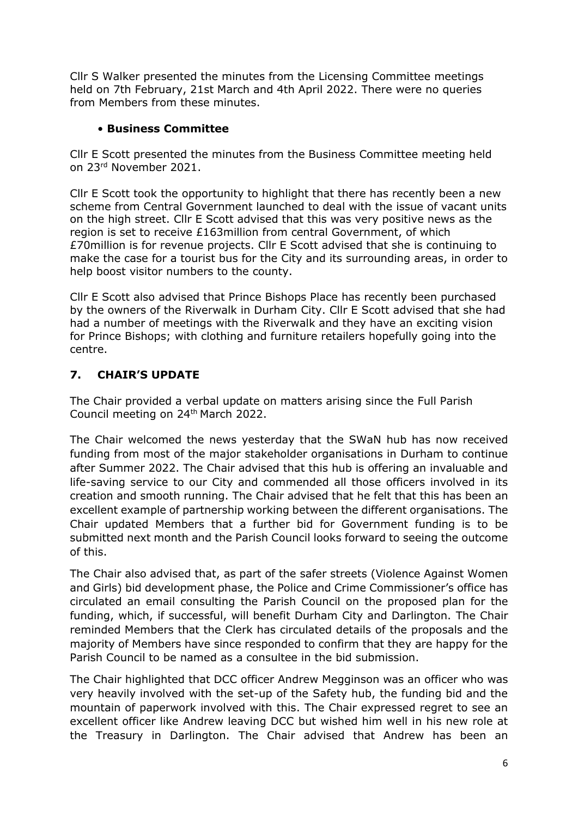Cllr S Walker presented the minutes from the Licensing Committee meetings held on 7th February, 21st March and 4th April 2022. There were no queries from Members from these minutes.

# • **Business Committee**

Cllr E Scott presented the minutes from the Business Committee meeting held on 23rd November 2021.

Cllr E Scott took the opportunity to highlight that there has recently been a new scheme from Central Government launched to deal with the issue of vacant units on the high street. Cllr E Scott advised that this was very positive news as the region is set to receive £163million from central Government, of which £70million is for revenue projects. Cllr E Scott advised that she is continuing to make the case for a tourist bus for the City and its surrounding areas, in order to help boost visitor numbers to the county.

Cllr E Scott also advised that Prince Bishops Place has recently been purchased by the owners of the Riverwalk in Durham City. Cllr E Scott advised that she had had a number of meetings with the Riverwalk and they have an exciting vision for Prince Bishops; with clothing and furniture retailers hopefully going into the centre.

# **7. CHAIR'S UPDATE**

The Chair provided a verbal update on matters arising since the Full Parish Council meeting on 24th March 2022.

The Chair welcomed the news yesterday that the SWaN hub has now received funding from most of the major stakeholder organisations in Durham to continue after Summer 2022. The Chair advised that this hub is offering an invaluable and life-saving service to our City and commended all those officers involved in its creation and smooth running. The Chair advised that he felt that this has been an excellent example of partnership working between the different organisations. The Chair updated Members that a further bid for Government funding is to be submitted next month and the Parish Council looks forward to seeing the outcome of this.

The Chair also advised that, as part of the safer streets (Violence Against Women and Girls) bid development phase, the Police and Crime Commissioner's office has circulated an email consulting the Parish Council on the proposed plan for the funding, which, if successful, will benefit Durham City and Darlington. The Chair reminded Members that the Clerk has circulated details of the proposals and the majority of Members have since responded to confirm that they are happy for the Parish Council to be named as a consultee in the bid submission.

The Chair highlighted that DCC officer Andrew Megginson was an officer who was very heavily involved with the set-up of the Safety hub, the funding bid and the mountain of paperwork involved with this. The Chair expressed regret to see an excellent officer like Andrew leaving DCC but wished him well in his new role at the Treasury in Darlington. The Chair advised that Andrew has been an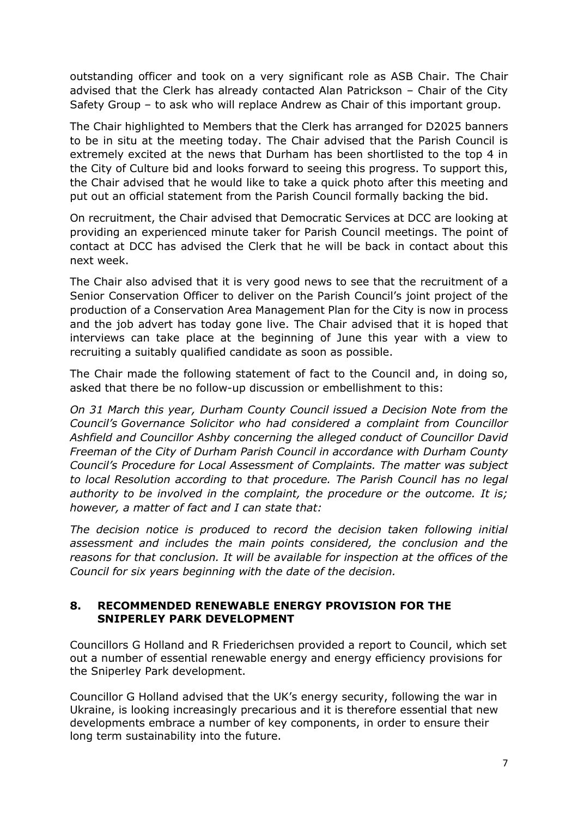outstanding officer and took on a very significant role as ASB Chair. The Chair advised that the Clerk has already contacted Alan Patrickson – Chair of the City Safety Group – to ask who will replace Andrew as Chair of this important group.

The Chair highlighted to Members that the Clerk has arranged for D2025 banners to be in situ at the meeting today. The Chair advised that the Parish Council is extremely excited at the news that Durham has been shortlisted to the top 4 in the City of Culture bid and looks forward to seeing this progress. To support this, the Chair advised that he would like to take a quick photo after this meeting and put out an official statement from the Parish Council formally backing the bid.

On recruitment, the Chair advised that Democratic Services at DCC are looking at providing an experienced minute taker for Parish Council meetings. The point of contact at DCC has advised the Clerk that he will be back in contact about this next week.

The Chair also advised that it is very good news to see that the recruitment of a Senior Conservation Officer to deliver on the Parish Council's joint project of the production of a Conservation Area Management Plan for the City is now in process and the job advert has today gone live. The Chair advised that it is hoped that interviews can take place at the beginning of June this year with a view to recruiting a suitably qualified candidate as soon as possible.

The Chair made the following statement of fact to the Council and, in doing so, asked that there be no follow-up discussion or embellishment to this:

*On 31 March this year, Durham County Council issued a Decision Note from the Council's Governance Solicitor who had considered a complaint from Councillor Ashfield and Councillor Ashby concerning the alleged conduct of Councillor David Freeman of the City of Durham Parish Council in accordance with Durham County Council's Procedure for Local Assessment of Complaints. The matter was subject to local Resolution according to that procedure. The Parish Council has no legal authority to be involved in the complaint, the procedure or the outcome. It is; however, a matter of fact and I can state that:*

*The decision notice is produced to record the decision taken following initial assessment and includes the main points considered, the conclusion and the reasons for that conclusion. It will be available for inspection at the offices of the Council for six years beginning with the date of the decision.*

#### **8. RECOMMENDED RENEWABLE ENERGY PROVISION FOR THE SNIPERLEY PARK DEVELOPMENT**

Councillors G Holland and R Friederichsen provided a report to Council, which set out a number of essential renewable energy and energy efficiency provisions for the Sniperley Park development.

Councillor G Holland advised that the UK's energy security, following the war in Ukraine, is looking increasingly precarious and it is therefore essential that new developments embrace a number of key components, in order to ensure their long term sustainability into the future.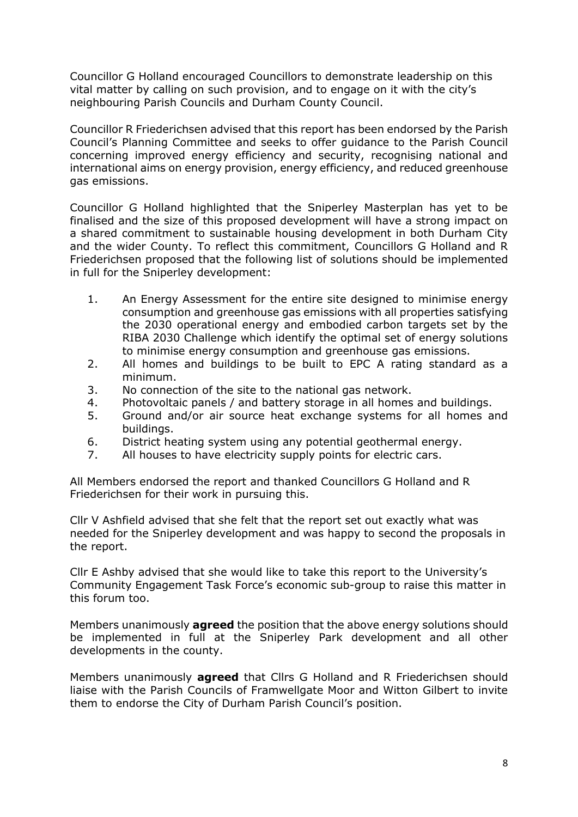Councillor G Holland encouraged Councillors to demonstrate leadership on this vital matter by calling on such provision, and to engage on it with the city's neighbouring Parish Councils and Durham County Council.

Councillor R Friederichsen advised that this report has been endorsed by the Parish Council's Planning Committee and seeks to offer guidance to the Parish Council concerning improved energy efficiency and security, recognising national and international aims on energy provision, energy efficiency, and reduced greenhouse gas emissions.

Councillor G Holland highlighted that the Sniperley Masterplan has yet to be finalised and the size of this proposed development will have a strong impact on a shared commitment to sustainable housing development in both Durham City and the wider County. To reflect this commitment, Councillors G Holland and R Friederichsen proposed that the following list of solutions should be implemented in full for the Sniperley development:

- 1. An Energy Assessment for the entire site designed to minimise energy consumption and greenhouse gas emissions with all properties satisfying the 2030 operational energy and embodied carbon targets set by the RIBA 2030 Challenge which identify the optimal set of energy solutions to minimise energy consumption and greenhouse gas emissions.
- 2. All homes and buildings to be built to EPC A rating standard as a minimum.
- 3. No connection of the site to the national gas network.
- 4. Photovoltaic panels / and battery storage in all homes and buildings.
- 5. Ground and/or air source heat exchange systems for all homes and buildings.
- 6. District heating system using any potential geothermal energy.
- 7. All houses to have electricity supply points for electric cars.

All Members endorsed the report and thanked Councillors G Holland and R Friederichsen for their work in pursuing this.

Cllr V Ashfield advised that she felt that the report set out exactly what was needed for the Sniperley development and was happy to second the proposals in the report.

Cllr E Ashby advised that she would like to take this report to the University's Community Engagement Task Force's economic sub-group to raise this matter in this forum too.

Members unanimously **agreed** the position that the above energy solutions should be implemented in full at the Sniperley Park development and all other developments in the county.

Members unanimously **agreed** that Cllrs G Holland and R Friederichsen should liaise with the Parish Councils of Framwellgate Moor and Witton Gilbert to invite them to endorse the City of Durham Parish Council's position.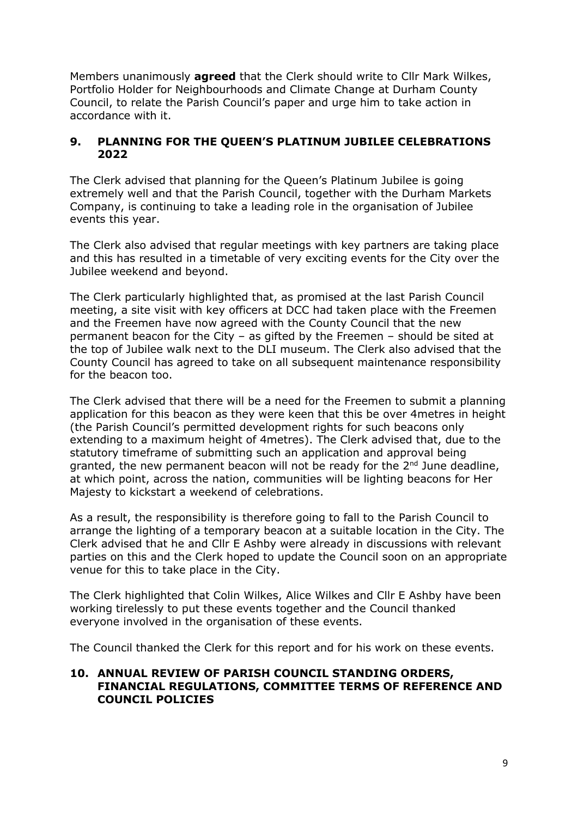Members unanimously **agreed** that the Clerk should write to Cllr Mark Wilkes, Portfolio Holder for Neighbourhoods and Climate Change at Durham County Council, to relate the Parish Council's paper and urge him to take action in accordance with it.

#### **9. PLANNING FOR THE QUEEN'S PLATINUM JUBILEE CELEBRATIONS 2022**

The Clerk advised that planning for the Queen's Platinum Jubilee is going extremely well and that the Parish Council, together with the Durham Markets Company, is continuing to take a leading role in the organisation of Jubilee events this year.

The Clerk also advised that regular meetings with key partners are taking place and this has resulted in a timetable of very exciting events for the City over the Jubilee weekend and beyond.

The Clerk particularly highlighted that, as promised at the last Parish Council meeting, a site visit with key officers at DCC had taken place with the Freemen and the Freemen have now agreed with the County Council that the new permanent beacon for the City – as gifted by the Freemen – should be sited at the top of Jubilee walk next to the DLI museum. The Clerk also advised that the County Council has agreed to take on all subsequent maintenance responsibility for the beacon too.

The Clerk advised that there will be a need for the Freemen to submit a planning application for this beacon as they were keen that this be over 4metres in height (the Parish Council's permitted development rights for such beacons only extending to a maximum height of 4metres). The Clerk advised that, due to the statutory timeframe of submitting such an application and approval being granted, the new permanent beacon will not be ready for the  $2<sup>nd</sup>$  June deadline, at which point, across the nation, communities will be lighting beacons for Her Majesty to kickstart a weekend of celebrations.

As a result, the responsibility is therefore going to fall to the Parish Council to arrange the lighting of a temporary beacon at a suitable location in the City. The Clerk advised that he and Cllr E Ashby were already in discussions with relevant parties on this and the Clerk hoped to update the Council soon on an appropriate venue for this to take place in the City.

The Clerk highlighted that Colin Wilkes, Alice Wilkes and Cllr E Ashby have been working tirelessly to put these events together and the Council thanked everyone involved in the organisation of these events.

The Council thanked the Clerk for this report and for his work on these events.

#### **10. ANNUAL REVIEW OF PARISH COUNCIL STANDING ORDERS, FINANCIAL REGULATIONS, COMMITTEE TERMS OF REFERENCE AND COUNCIL POLICIES**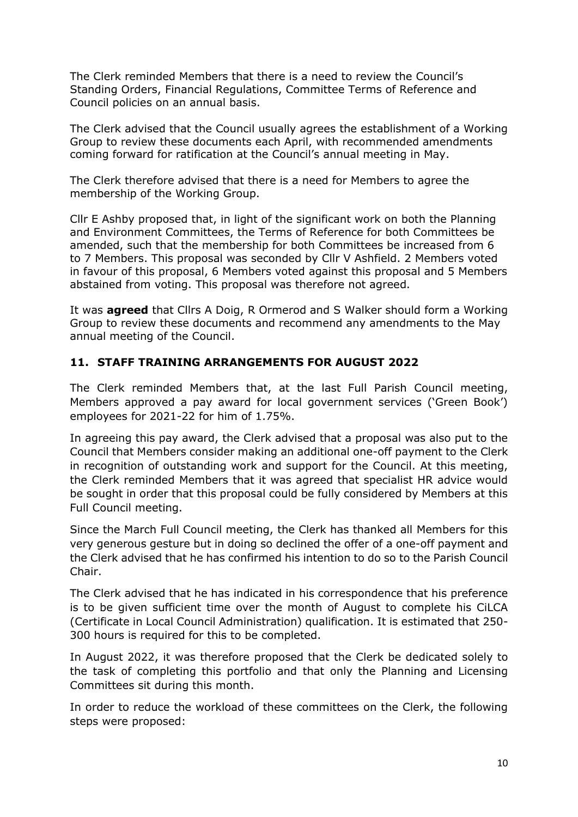The Clerk reminded Members that there is a need to review the Council's Standing Orders, Financial Regulations, Committee Terms of Reference and Council policies on an annual basis.

The Clerk advised that the Council usually agrees the establishment of a Working Group to review these documents each April, with recommended amendments coming forward for ratification at the Council's annual meeting in May.

The Clerk therefore advised that there is a need for Members to agree the membership of the Working Group.

Cllr E Ashby proposed that, in light of the significant work on both the Planning and Environment Committees, the Terms of Reference for both Committees be amended, such that the membership for both Committees be increased from 6 to 7 Members. This proposal was seconded by Cllr V Ashfield. 2 Members voted in favour of this proposal, 6 Members voted against this proposal and 5 Members abstained from voting. This proposal was therefore not agreed.

It was **agreed** that Cllrs A Doig, R Ormerod and S Walker should form a Working Group to review these documents and recommend any amendments to the May annual meeting of the Council.

#### **11. STAFF TRAINING ARRANGEMENTS FOR AUGUST 2022**

The Clerk reminded Members that, at the last Full Parish Council meeting, Members approved a pay award for local government services ('Green Book') employees for 2021-22 for him of 1.75%.

In agreeing this pay award, the Clerk advised that a proposal was also put to the Council that Members consider making an additional one-off payment to the Clerk in recognition of outstanding work and support for the Council. At this meeting, the Clerk reminded Members that it was agreed that specialist HR advice would be sought in order that this proposal could be fully considered by Members at this Full Council meeting.

Since the March Full Council meeting, the Clerk has thanked all Members for this very generous gesture but in doing so declined the offer of a one-off payment and the Clerk advised that he has confirmed his intention to do so to the Parish Council Chair.

The Clerk advised that he has indicated in his correspondence that his preference is to be given sufficient time over the month of August to complete his CiLCA (Certificate in Local Council Administration) qualification. It is estimated that 250- 300 hours is required for this to be completed.

In August 2022, it was therefore proposed that the Clerk be dedicated solely to the task of completing this portfolio and that only the Planning and Licensing Committees sit during this month.

In order to reduce the workload of these committees on the Clerk, the following steps were proposed: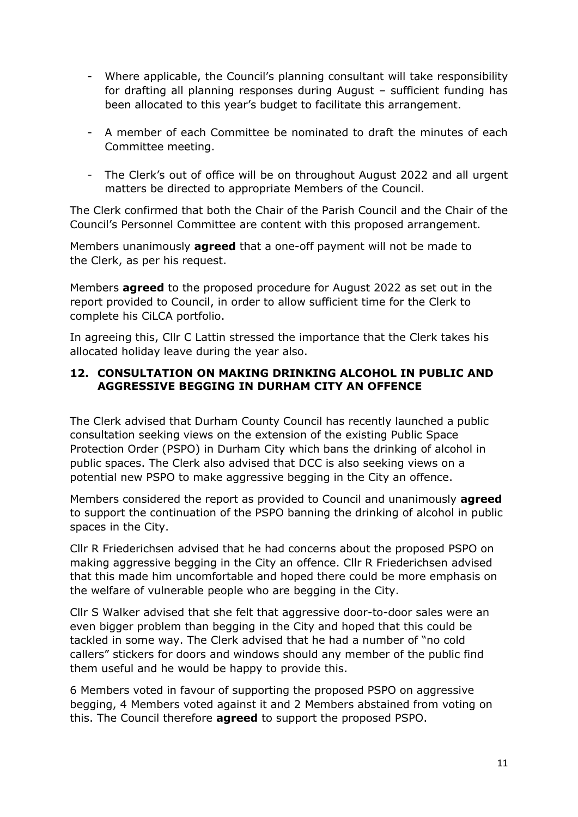- Where applicable, the Council's planning consultant will take responsibility for drafting all planning responses during August – sufficient funding has been allocated to this year's budget to facilitate this arrangement.
- A member of each Committee be nominated to draft the minutes of each Committee meeting.
- The Clerk's out of office will be on throughout August 2022 and all urgent matters be directed to appropriate Members of the Council.

The Clerk confirmed that both the Chair of the Parish Council and the Chair of the Council's Personnel Committee are content with this proposed arrangement.

Members unanimously **agreed** that a one-off payment will not be made to the Clerk, as per his request.

Members **agreed** to the proposed procedure for August 2022 as set out in the report provided to Council, in order to allow sufficient time for the Clerk to complete his CiLCA portfolio.

In agreeing this, Cllr C Lattin stressed the importance that the Clerk takes his allocated holiday leave during the year also.

#### **12. CONSULTATION ON MAKING DRINKING ALCOHOL IN PUBLIC AND AGGRESSIVE BEGGING IN DURHAM CITY AN OFFENCE**

The Clerk advised that Durham County Council has recently launched a public consultation seeking views on the extension of the existing Public Space Protection Order (PSPO) in Durham City which bans the drinking of alcohol in public spaces. The Clerk also advised that DCC is also seeking views on a potential new PSPO to make aggressive begging in the City an offence.

Members considered the report as provided to Council and unanimously **agreed**  to support the continuation of the PSPO banning the drinking of alcohol in public spaces in the City.

Cllr R Friederichsen advised that he had concerns about the proposed PSPO on making aggressive begging in the City an offence. Cllr R Friederichsen advised that this made him uncomfortable and hoped there could be more emphasis on the welfare of vulnerable people who are begging in the City.

Cllr S Walker advised that she felt that aggressive door-to-door sales were an even bigger problem than begging in the City and hoped that this could be tackled in some way. The Clerk advised that he had a number of "no cold callers" stickers for doors and windows should any member of the public find them useful and he would be happy to provide this.

6 Members voted in favour of supporting the proposed PSPO on aggressive begging, 4 Members voted against it and 2 Members abstained from voting on this. The Council therefore **agreed** to support the proposed PSPO.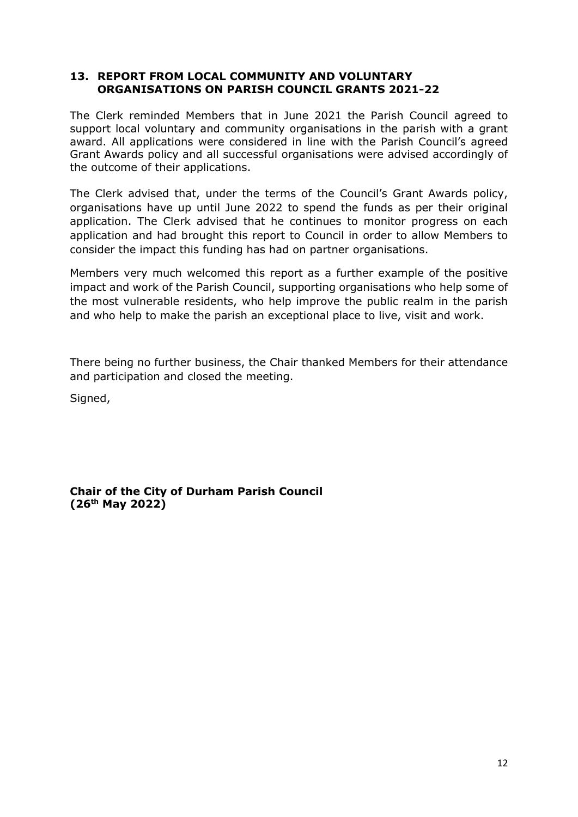#### **13. REPORT FROM LOCAL COMMUNITY AND VOLUNTARY ORGANISATIONS ON PARISH COUNCIL GRANTS 2021-22**

The Clerk reminded Members that in June 2021 the Parish Council agreed to support local voluntary and community organisations in the parish with a grant award. All applications were considered in line with the Parish Council's agreed Grant Awards policy and all successful organisations were advised accordingly of the outcome of their applications.

The Clerk advised that, under the terms of the Council's Grant Awards policy, organisations have up until June 2022 to spend the funds as per their original application. The Clerk advised that he continues to monitor progress on each application and had brought this report to Council in order to allow Members to consider the impact this funding has had on partner organisations.

Members very much welcomed this report as a further example of the positive impact and work of the Parish Council, supporting organisations who help some of the most vulnerable residents, who help improve the public realm in the parish and who help to make the parish an exceptional place to live, visit and work.

There being no further business, the Chair thanked Members for their attendance and participation and closed the meeting.

Signed,

**Chair of the City of Durham Parish Council (26th May 2022)**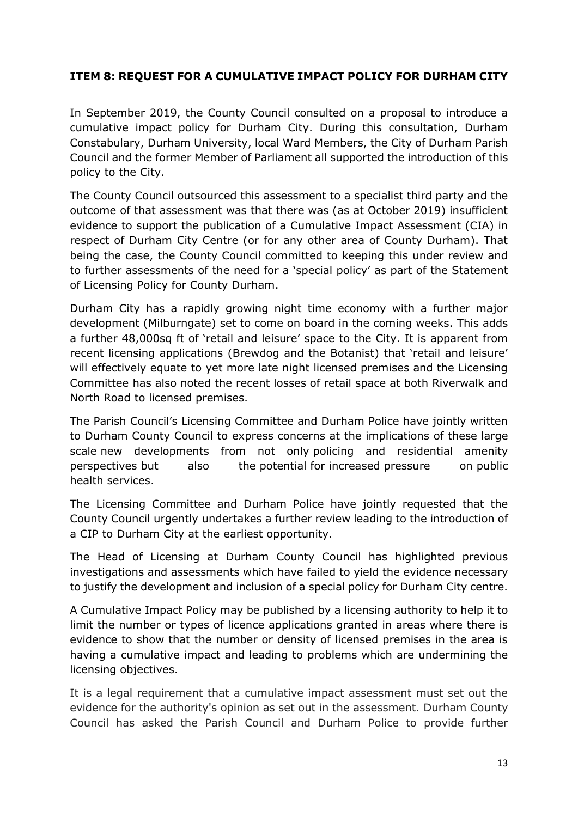# **ITEM 8: REQUEST FOR A CUMULATIVE IMPACT POLICY FOR DURHAM CITY**

In September 2019, the County Council consulted on a proposal to introduce a cumulative impact policy for Durham City. During this consultation, Durham Constabulary, Durham University, local Ward Members, the City of Durham Parish Council and the former Member of Parliament all supported the introduction of this policy to the City.

The County Council outsourced this assessment to a specialist third party and the outcome of that assessment was that there was (as at October 2019) insufficient evidence to support the publication of a Cumulative Impact Assessment (CIA) in respect of Durham City Centre (or for any other area of County Durham). That being the case, the County Council committed to keeping this under review and to further assessments of the need for a 'special policy' as part of the Statement of Licensing Policy for County Durham.

Durham City has a rapidly growing night time economy with a further major development (Milburngate) set to come on board in the coming weeks. This adds a further 48,000sq ft of 'retail and leisure' space to the City. It is apparent from recent licensing applications (Brewdog and the Botanist) that 'retail and leisure' will effectively equate to yet more late night licensed premises and the Licensing Committee has also noted the recent losses of retail space at both Riverwalk and North Road to licensed premises.

The Parish Council's Licensing Committee and Durham Police have jointly written to Durham County Council to express concerns at the implications of these large scale new developments from not only policing and residential amenity perspectives but also the potential for increased pressure on public health services.

The Licensing Committee and Durham Police have jointly requested that the County Council urgently undertakes a further review leading to the introduction of a CIP to Durham City at the earliest opportunity.

The Head of Licensing at Durham County Council has highlighted previous investigations and assessments which have failed to yield the evidence necessary to justify the development and inclusion of a special policy for Durham City centre.

A Cumulative Impact Policy may be published by a licensing authority to help it to limit the number or types of licence applications granted in areas where there is evidence to show that the number or density of licensed premises in the area is having a cumulative impact and leading to problems which are undermining the licensing objectives.

It is a legal requirement that a cumulative impact assessment must set out the evidence for the authority's opinion as set out in the assessment. Durham County Council has asked the Parish Council and Durham Police to provide further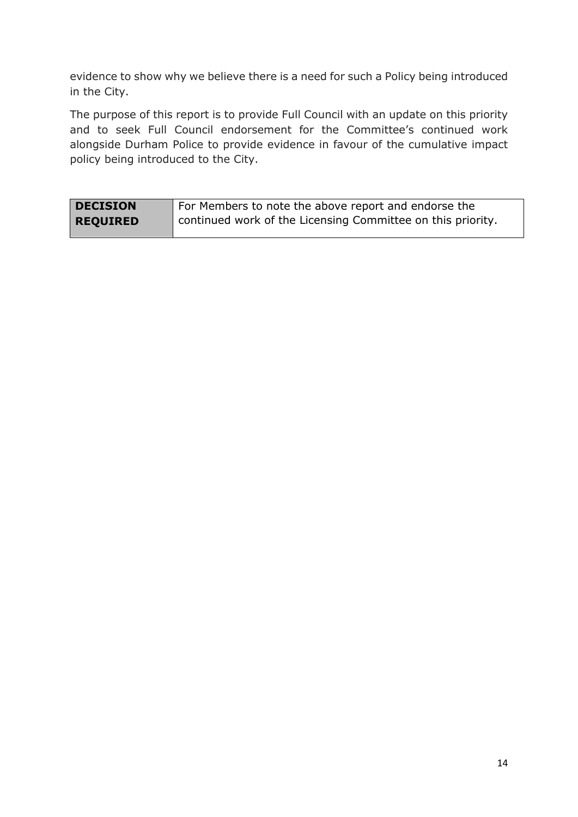evidence to show why we believe there is a need for such a Policy being introduced in the City.

The purpose of this report is to provide Full Council with an update on this priority and to seek Full Council endorsement for the Committee's continued work alongside Durham Police to provide evidence in favour of the cumulative impact policy being introduced to the City.

| <b>DECISION</b> | For Members to note the above report and endorse the        |
|-----------------|-------------------------------------------------------------|
| <b>REQUIRED</b> | continued work of the Licensing Committee on this priority. |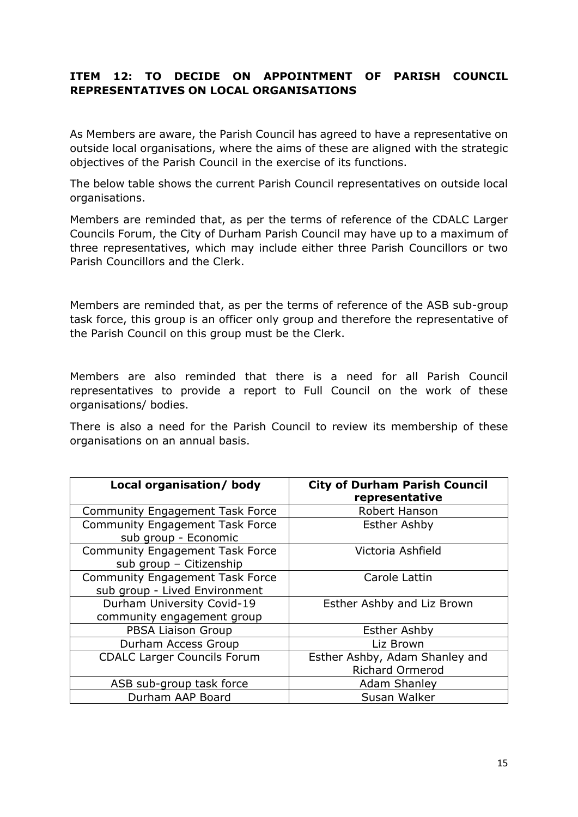# **ITEM 12: TO DECIDE ON APPOINTMENT OF PARISH COUNCIL REPRESENTATIVES ON LOCAL ORGANISATIONS**

As Members are aware, the Parish Council has agreed to have a representative on outside local organisations, where the aims of these are aligned with the strategic objectives of the Parish Council in the exercise of its functions.

The below table shows the current Parish Council representatives on outside local organisations.

Members are reminded that, as per the terms of reference of the CDALC Larger Councils Forum, the City of Durham Parish Council may have up to a maximum of three representatives, which may include either three Parish Councillors or two Parish Councillors and the Clerk.

Members are reminded that, as per the terms of reference of the ASB sub-group task force, this group is an officer only group and therefore the representative of the Parish Council on this group must be the Clerk.

Members are also reminded that there is a need for all Parish Council representatives to provide a report to Full Council on the work of these organisations/ bodies.

There is also a need for the Parish Council to review its membership of these organisations on an annual basis.

| Local organisation/ body                                                | <b>City of Durham Parish Council</b><br>representative   |
|-------------------------------------------------------------------------|----------------------------------------------------------|
| <b>Community Engagement Task Force</b>                                  | Robert Hanson                                            |
| <b>Community Engagement Task Force</b><br>sub group - Economic          | <b>Esther Ashby</b>                                      |
| <b>Community Engagement Task Force</b><br>sub group - Citizenship       | Victoria Ashfield                                        |
| <b>Community Engagement Task Force</b><br>sub group - Lived Environment | Carole Lattin                                            |
| Durham University Covid-19<br>community engagement group                | Esther Ashby and Liz Brown                               |
| PBSA Liaison Group                                                      | <b>Esther Ashby</b>                                      |
| Durham Access Group                                                     | Liz Brown                                                |
| <b>CDALC Larger Councils Forum</b>                                      | Esther Ashby, Adam Shanley and<br><b>Richard Ormerod</b> |
| ASB sub-group task force                                                | <b>Adam Shanley</b>                                      |
| Durham AAP Board                                                        | Susan Walker                                             |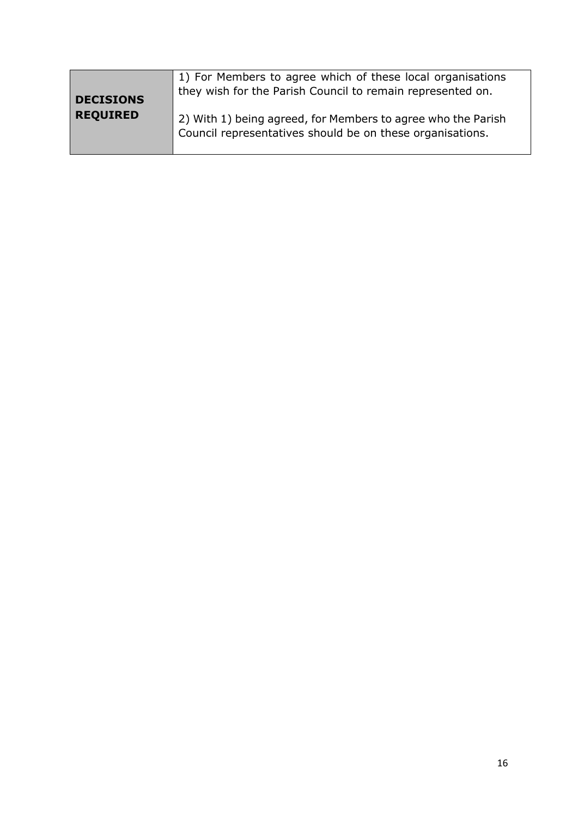| <b>DECISIONS</b> | 1) For Members to agree which of these local organisations<br>they wish for the Parish Council to remain represented on.  |
|------------------|---------------------------------------------------------------------------------------------------------------------------|
| <b>REQUIRED</b>  | 2) With 1) being agreed, for Members to agree who the Parish<br>Council representatives should be on these organisations. |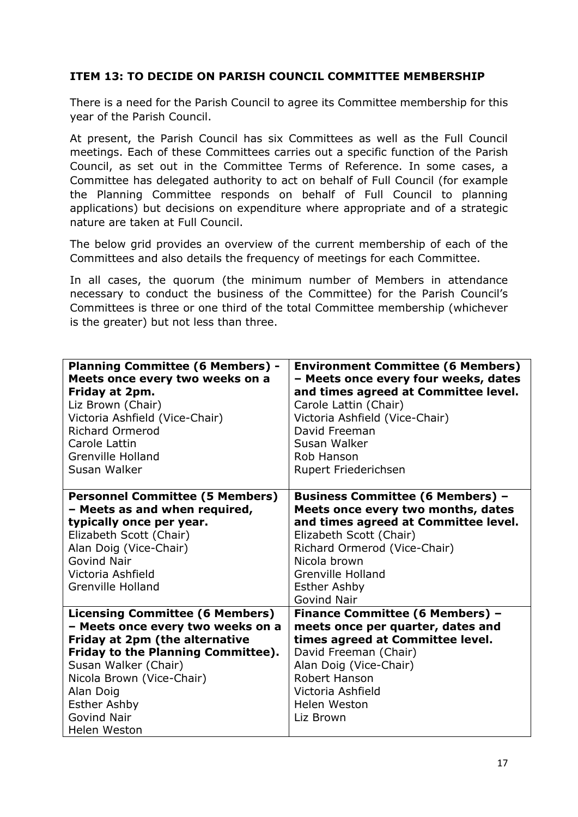#### **ITEM 13: TO DECIDE ON PARISH COUNCIL COMMITTEE MEMBERSHIP**

There is a need for the Parish Council to agree its Committee membership for this year of the Parish Council.

At present, the Parish Council has six Committees as well as the Full Council meetings. Each of these Committees carries out a specific function of the Parish Council, as set out in the Committee Terms of Reference. In some cases, a Committee has delegated authority to act on behalf of Full Council (for example the Planning Committee responds on behalf of Full Council to planning applications) but decisions on expenditure where appropriate and of a strategic nature are taken at Full Council.

The below grid provides an overview of the current membership of each of the Committees and also details the frequency of meetings for each Committee.

In all cases, the quorum (the minimum number of Members in attendance necessary to conduct the business of the Committee) for the Parish Council's Committees is three or one third of the total Committee membership (whichever is the greater) but not less than three.

| <b>Planning Committee (6 Members) -</b><br>Meets once every two weeks on a<br>Friday at 2pm.<br>Liz Brown (Chair)<br>Victoria Ashfield (Vice-Chair)<br><b>Richard Ormerod</b><br>Carole Lattin<br><b>Grenville Holland</b><br>Susan Walker                                                       | <b>Environment Committee (6 Members)</b><br>- Meets once every four weeks, dates<br>and times agreed at Committee level.<br>Carole Lattin (Chair)<br>Victoria Ashfield (Vice-Chair)<br>David Freeman<br>Susan Walker<br>Rob Hanson<br>Rupert Friederichsen                |
|--------------------------------------------------------------------------------------------------------------------------------------------------------------------------------------------------------------------------------------------------------------------------------------------------|---------------------------------------------------------------------------------------------------------------------------------------------------------------------------------------------------------------------------------------------------------------------------|
| <b>Personnel Committee (5 Members)</b><br>- Meets as and when required,<br>typically once per year.<br>Elizabeth Scott (Chair)<br>Alan Doig (Vice-Chair)<br><b>Govind Nair</b><br>Victoria Ashfield<br><b>Grenville Holland</b>                                                                  | <b>Business Committee (6 Members) -</b><br>Meets once every two months, dates<br>and times agreed at Committee level.<br>Elizabeth Scott (Chair)<br>Richard Ormerod (Vice-Chair)<br>Nicola brown<br><b>Grenville Holland</b><br><b>Esther Ashby</b><br><b>Govind Nair</b> |
| <b>Licensing Committee (6 Members)</b><br>- Meets once every two weeks on a<br><b>Friday at 2pm (the alternative</b><br><b>Friday to the Planning Committee).</b><br>Susan Walker (Chair)<br>Nicola Brown (Vice-Chair)<br>Alan Doig<br><b>Esther Ashby</b><br><b>Govind Nair</b><br>Helen Weston | <b>Finance Committee (6 Members) -</b><br>meets once per quarter, dates and<br>times agreed at Committee level.<br>David Freeman (Chair)<br>Alan Doig (Vice-Chair)<br>Robert Hanson<br>Victoria Ashfield<br>Helen Weston<br>Liz Brown                                     |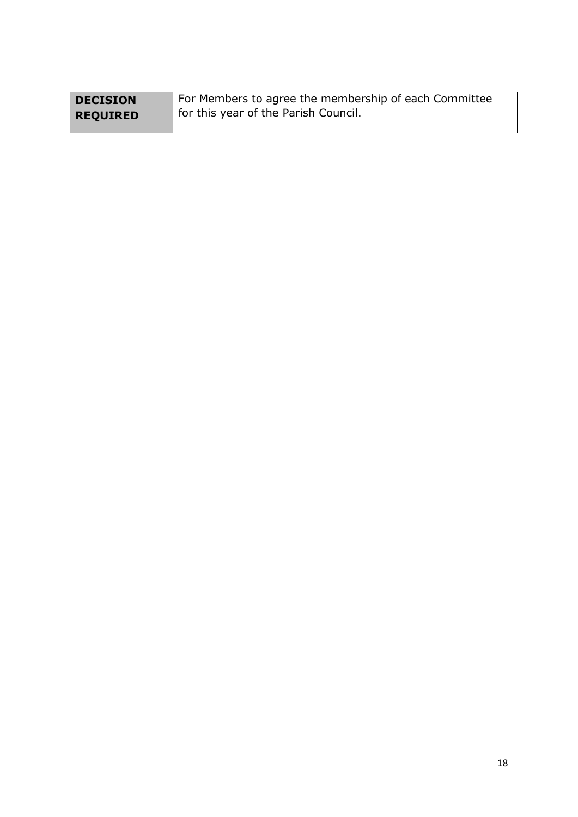| <b>DECISION</b> | For Members to agree the membership of each Committee |
|-----------------|-------------------------------------------------------|
| <b>REQUIRED</b> | for this year of the Parish Council.                  |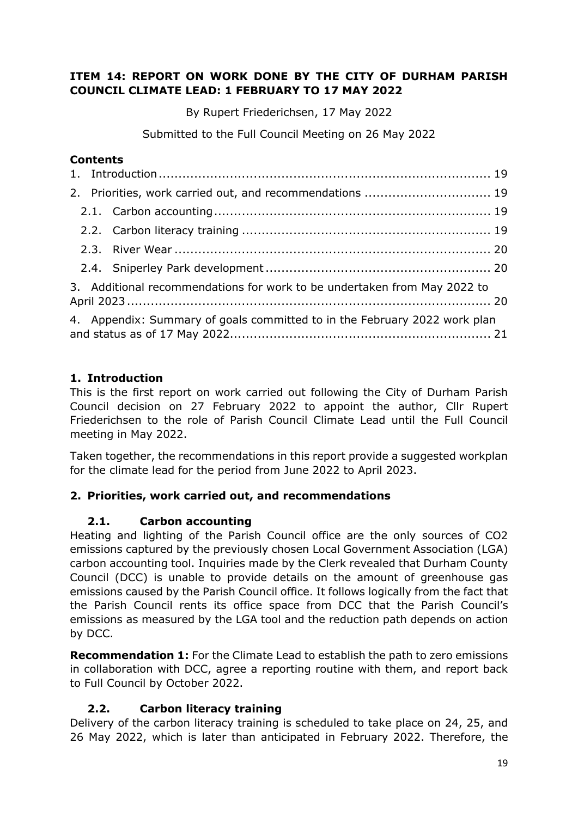#### **ITEM 14: REPORT ON WORK DONE BY THE CITY OF DURHAM PARISH COUNCIL CLIMATE LEAD: 1 FEBRUARY TO 17 MAY 2022**

By Rupert Friederichsen, 17 May 2022

Submitted to the Full Council Meeting on 26 May 2022

# **Contents**

|  | 2. Priorities, work carried out, and recommendations  19                  |  |
|--|---------------------------------------------------------------------------|--|
|  |                                                                           |  |
|  |                                                                           |  |
|  |                                                                           |  |
|  |                                                                           |  |
|  | 3. Additional recommendations for work to be undertaken from May 2022 to  |  |
|  | 4. Appendix: Summary of goals committed to in the February 2022 work plan |  |

# <span id="page-18-0"></span>**1. Introduction**

This is the first report on work carried out following the City of Durham Parish Council decision on 27 February 2022 to appoint the author, Cllr Rupert Friederichsen to the role of Parish Council Climate Lead until the Full Council meeting in May 2022.

Taken together, the recommendations in this report provide a suggested workplan for the climate lead for the period from June 2022 to April 2023.

# <span id="page-18-2"></span><span id="page-18-1"></span>**2. Priorities, work carried out, and recommendations**

# **2.1. Carbon accounting**

Heating and lighting of the Parish Council office are the only sources of CO2 emissions captured by the previously chosen Local Government Association (LGA) carbon accounting tool. Inquiries made by the Clerk revealed that Durham County Council (DCC) is unable to provide details on the amount of greenhouse gas emissions caused by the Parish Council office. It follows logically from the fact that the Parish Council rents its office space from DCC that the Parish Council's emissions as measured by the LGA tool and the reduction path depends on action by DCC.

**Recommendation 1:** For the Climate Lead to establish the path to zero emissions in collaboration with DCC, agree a reporting routine with them, and report back to Full Council by October 2022.

# **2.2. Carbon literacy training**

<span id="page-18-3"></span>Delivery of the carbon literacy training is scheduled to take place on 24, 25, and 26 May 2022, which is later than anticipated in February 2022. Therefore, the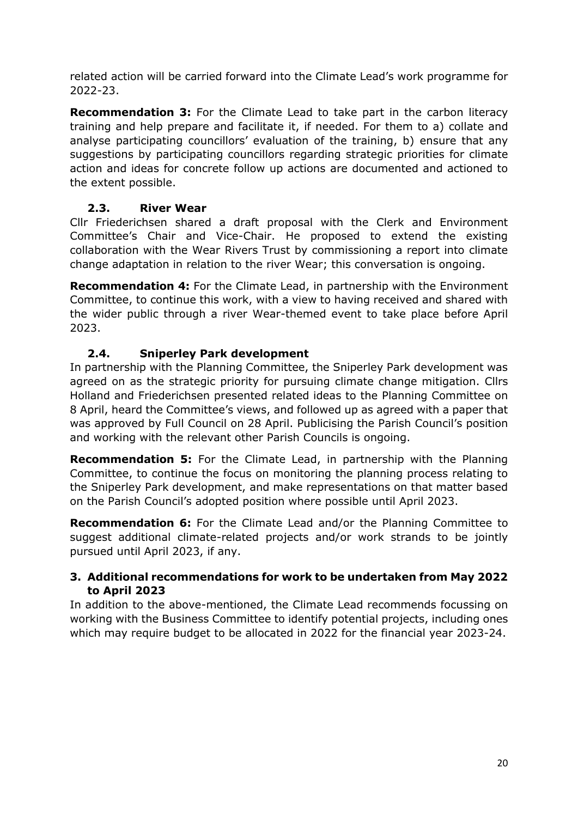related action will be carried forward into the Climate Lead's work programme for 2022-23.

**Recommendation 3:** For the Climate Lead to take part in the carbon literacy training and help prepare and facilitate it, if needed. For them to a) collate and analyse participating councillors' evaluation of the training, b) ensure that any suggestions by participating councillors regarding strategic priorities for climate action and ideas for concrete follow up actions are documented and actioned to the extent possible.

# **2.3. River Wear**

<span id="page-19-0"></span>Cllr Friederichsen shared a draft proposal with the Clerk and Environment Committee's Chair and Vice-Chair. He proposed to extend the existing collaboration with the Wear Rivers Trust by commissioning a report into climate change adaptation in relation to the river Wear; this conversation is ongoing.

**Recommendation 4:** For the Climate Lead, in partnership with the Environment Committee, to continue this work, with a view to having received and shared with the wider public through a river Wear-themed event to take place before April 2023.

# **2.4. Sniperley Park development**

<span id="page-19-1"></span>In partnership with the Planning Committee, the Sniperley Park development was agreed on as the strategic priority for pursuing climate change mitigation. Cllrs Holland and Friederichsen presented related ideas to the Planning Committee on 8 April, heard the Committee's views, and followed up as agreed with a paper that was approved by Full Council on 28 April. Publicising the Parish Council's position and working with the relevant other Parish Councils is ongoing.

**Recommendation 5:** For the Climate Lead, in partnership with the Planning Committee, to continue the focus on monitoring the planning process relating to the Sniperley Park development, and make representations on that matter based on the Parish Council's adopted position where possible until April 2023.

**Recommendation 6:** For the Climate Lead and/or the Planning Committee to suggest additional climate-related projects and/or work strands to be jointly pursued until April 2023, if any.

# <span id="page-19-2"></span>**3. Additional recommendations for work to be undertaken from May 2022 to April 2023**

In addition to the above-mentioned, the Climate Lead recommends focussing on working with the Business Committee to identify potential projects, including ones which may require budget to be allocated in 2022 for the financial year 2023-24.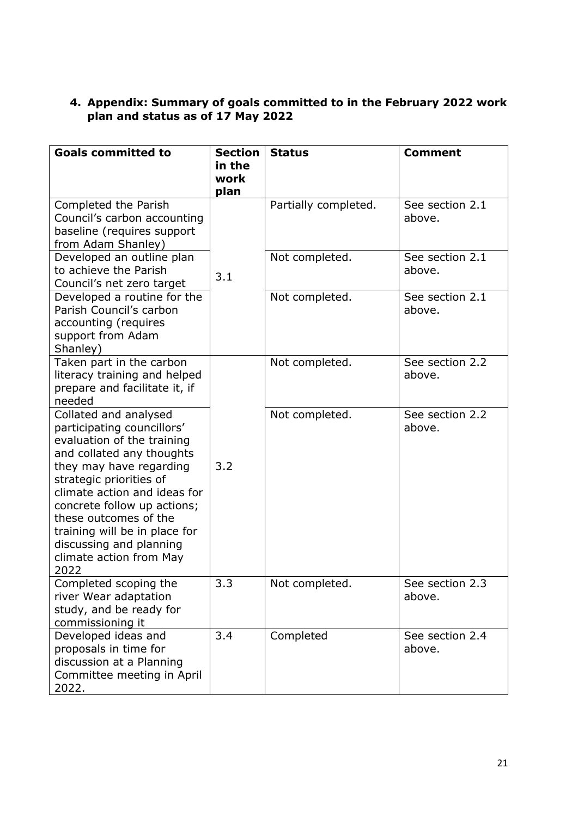#### <span id="page-20-0"></span>**4. Appendix: Summary of goals committed to in the February 2022 work plan and status as of 17 May 2022**

| <b>Goals committed to</b>                                                                                                                                                                                                                                                                                                                                   | <b>Section</b><br>in the<br>work<br>plan | <b>Status</b>        | <b>Comment</b>            |
|-------------------------------------------------------------------------------------------------------------------------------------------------------------------------------------------------------------------------------------------------------------------------------------------------------------------------------------------------------------|------------------------------------------|----------------------|---------------------------|
| Completed the Parish<br>Council's carbon accounting<br>baseline (requires support<br>from Adam Shanley)                                                                                                                                                                                                                                                     |                                          | Partially completed. | See section 2.1<br>above. |
| Developed an outline plan<br>to achieve the Parish<br>Council's net zero target                                                                                                                                                                                                                                                                             | 3.1                                      | Not completed.       | See section 2.1<br>above. |
| Developed a routine for the<br>Parish Council's carbon<br>accounting (requires<br>support from Adam<br>Shanley)                                                                                                                                                                                                                                             |                                          | Not completed.       | See section 2.1<br>above. |
| Taken part in the carbon<br>literacy training and helped<br>prepare and facilitate it, if<br>needed                                                                                                                                                                                                                                                         |                                          | Not completed.       | See section 2.2<br>above. |
| Collated and analysed<br>participating councillors'<br>evaluation of the training<br>and collated any thoughts<br>they may have regarding<br>strategic priorities of<br>climate action and ideas for<br>concrete follow up actions;<br>these outcomes of the<br>training will be in place for<br>discussing and planning<br>climate action from May<br>2022 | 3.2                                      | Not completed.       | See section 2.2<br>above. |
| Completed scoping the<br>river Wear adaptation<br>study, and be ready for<br>commissioning it                                                                                                                                                                                                                                                               | 3.3                                      | Not completed.       | See section 2.3<br>above. |
| Developed ideas and<br>proposals in time for<br>discussion at a Planning<br>Committee meeting in April<br>2022.                                                                                                                                                                                                                                             | 3.4                                      | Completed            | See section 2.4<br>above. |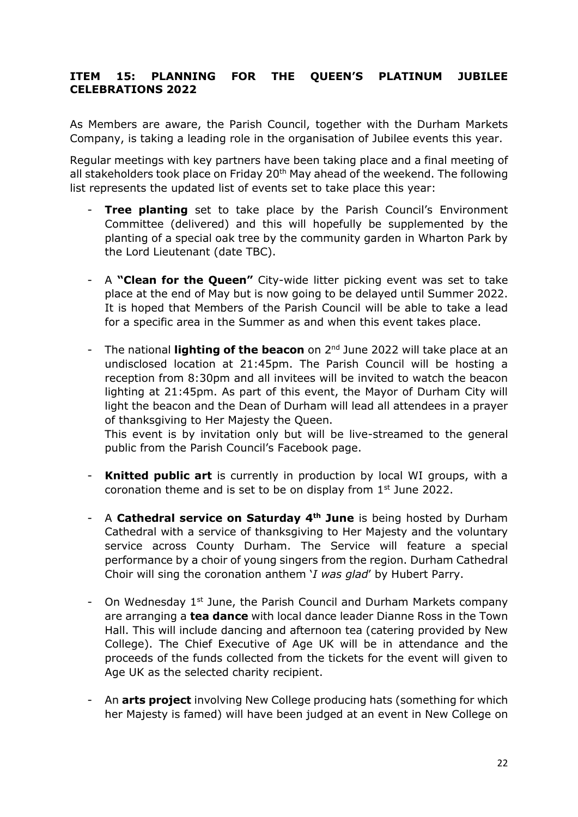#### **ITEM 15: PLANNING FOR THE QUEEN'S PLATINUM JUBILEE CELEBRATIONS 2022**

As Members are aware, the Parish Council, together with the Durham Markets Company, is taking a leading role in the organisation of Jubilee events this year.

Regular meetings with key partners have been taking place and a final meeting of all stakeholders took place on Friday 20<sup>th</sup> May ahead of the weekend. The following list represents the updated list of events set to take place this year:

- **Tree planting** set to take place by the Parish Council's Environment Committee (delivered) and this will hopefully be supplemented by the planting of a special oak tree by the community garden in Wharton Park by the Lord Lieutenant (date TBC).
- A **"Clean for the Queen"** City-wide litter picking event was set to take place at the end of May but is now going to be delayed until Summer 2022. It is hoped that Members of the Parish Council will be able to take a lead for a specific area in the Summer as and when this event takes place.
- The national **lighting of the beacon** on 2nd June 2022 will take place at an undisclosed location at 21:45pm. The Parish Council will be hosting a reception from 8:30pm and all invitees will be invited to watch the beacon lighting at 21:45pm. As part of this event, the Mayor of Durham City will light the beacon and the Dean of Durham will lead all attendees in a prayer of thanksgiving to Her Majesty the Queen.

This event is by invitation only but will be live-streamed to the general public from the Parish Council's Facebook page.

- **Knitted public art** is currently in production by local WI groups, with a coronation theme and is set to be on display from 1<sup>st</sup> June 2022.
- A **Cathedral service on Saturday 4th June** is being hosted by Durham Cathedral with a service of thanksgiving to Her Majesty and the voluntary service across County Durham. The Service will feature a special performance by a choir of young singers from the region. Durham Cathedral Choir will sing the coronation anthem '*I was glad*' by Hubert Parry.
- On Wednesday 1<sup>st</sup> June, the Parish Council and Durham Markets company are arranging a **tea dance** with local dance leader Dianne Ross in the Town Hall. This will include dancing and afternoon tea (catering provided by New College). The Chief Executive of Age UK will be in attendance and the proceeds of the funds collected from the tickets for the event will given to Age UK as the selected charity recipient.
- An **arts project** involving New College producing hats (something for which her Majesty is famed) will have been judged at an event in New College on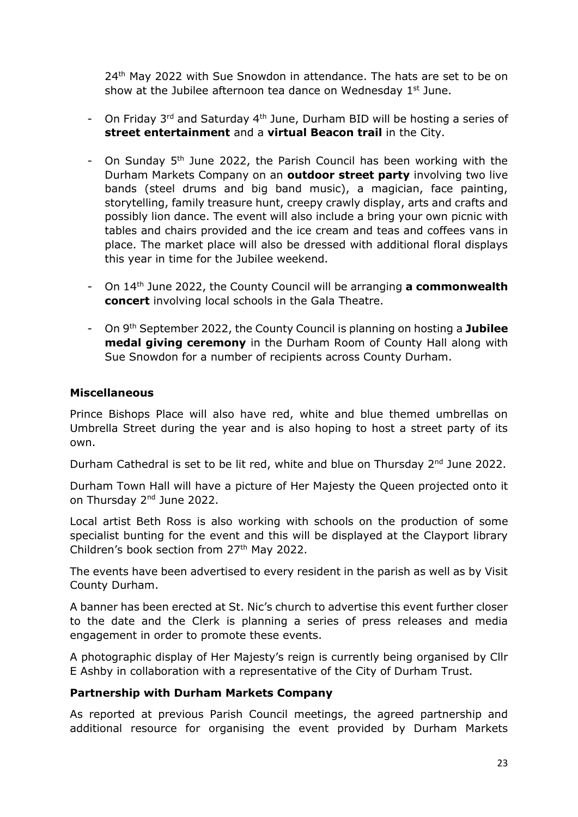24<sup>th</sup> May 2022 with Sue Snowdon in attendance. The hats are set to be on show at the Jubilee afternoon tea dance on Wednesday  $1<sup>st</sup>$  June.

- On Friday 3<sup>rd</sup> and Saturday 4<sup>th</sup> June, Durham BID will be hosting a series of **street entertainment** and a **virtual Beacon trail** in the City.
- On Sunday 5th June 2022, the Parish Council has been working with the Durham Markets Company on an **outdoor street party** involving two live bands (steel drums and big band music), a magician, face painting, storytelling, family treasure hunt, creepy crawly display, arts and crafts and possibly lion dance. The event will also include a bring your own picnic with tables and chairs provided and the ice cream and teas and coffees vans in place. The market place will also be dressed with additional floral displays this year in time for the Jubilee weekend.
- On 14th June 2022, the County Council will be arranging **a commonwealth concert** involving local schools in the Gala Theatre.
- On 9th September 2022, the County Council is planning on hosting a **Jubilee medal giving ceremony** in the Durham Room of County Hall along with Sue Snowdon for a number of recipients across County Durham.

#### **Miscellaneous**

Prince Bishops Place will also have red, white and blue themed umbrellas on Umbrella Street during the year and is also hoping to host a street party of its own.

Durham Cathedral is set to be lit red, white and blue on Thursday 2<sup>nd</sup> June 2022.

Durham Town Hall will have a picture of Her Majesty the Queen projected onto it on Thursday 2<sup>nd</sup> June 2022.

Local artist Beth Ross is also working with schools on the production of some specialist bunting for the event and this will be displayed at the Clayport library Children's book section from 27<sup>th</sup> May 2022.

The events have been advertised to every resident in the parish as well as by Visit County Durham.

A banner has been erected at St. Nic's church to advertise this event further closer to the date and the Clerk is planning a series of press releases and media engagement in order to promote these events.

A photographic display of Her Majesty's reign is currently being organised by Cllr E Ashby in collaboration with a representative of the City of Durham Trust.

#### **Partnership with Durham Markets Company**

As reported at previous Parish Council meetings, the agreed partnership and additional resource for organising the event provided by Durham Markets